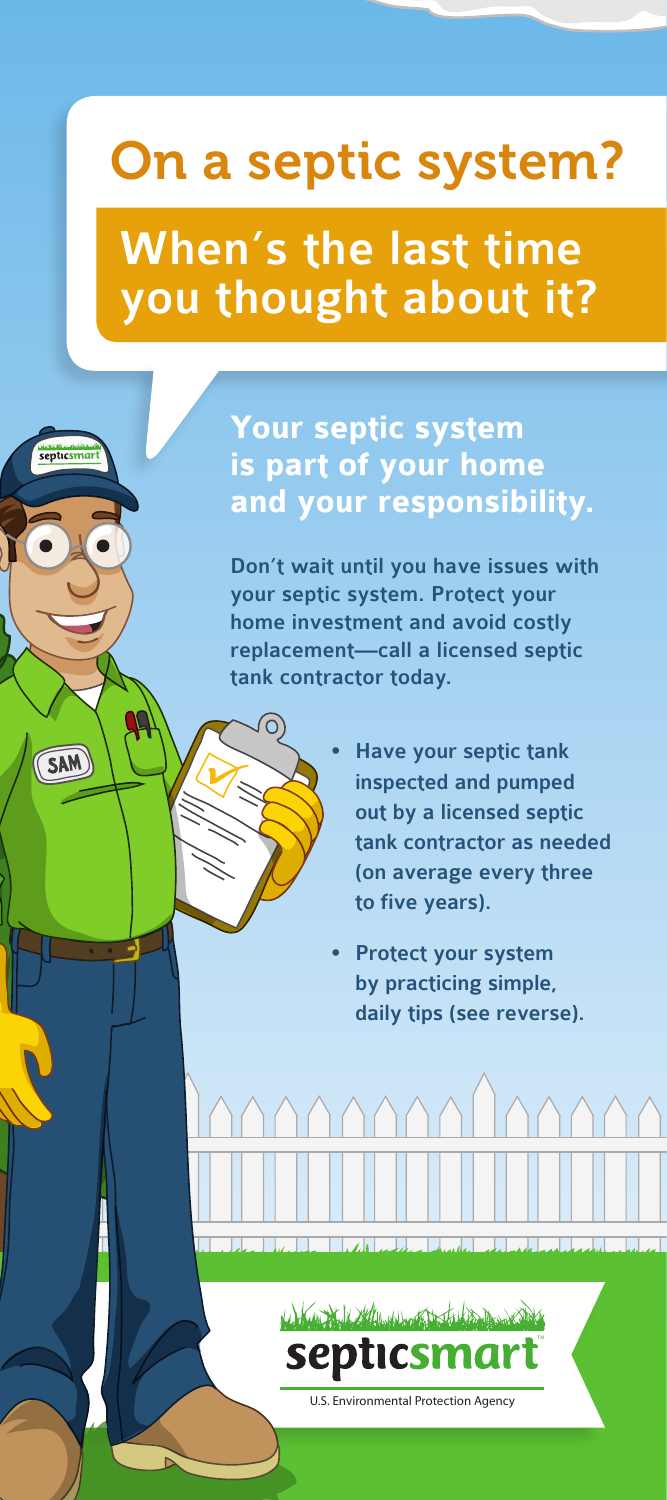## On a septic system?

When's the last time you thought about it?

epticsmar

 $SAM$ 

**Your septic system is part of your home and your responsibility.** 

Don't wait until you have issues with your septic system. Protect your home investment and avoid costly replacement—call a licensed septic tank contractor today.

> Have your septic tank inspected and pumped out by a licensed septic tank contractor as needed (on average every three to five years).

Protect your system by practicing simple, daily tips (see reverse).



كالمعدا وابدال واستعداد والماصط المتحرك المطابا

U.S. Environmental Protection Agency